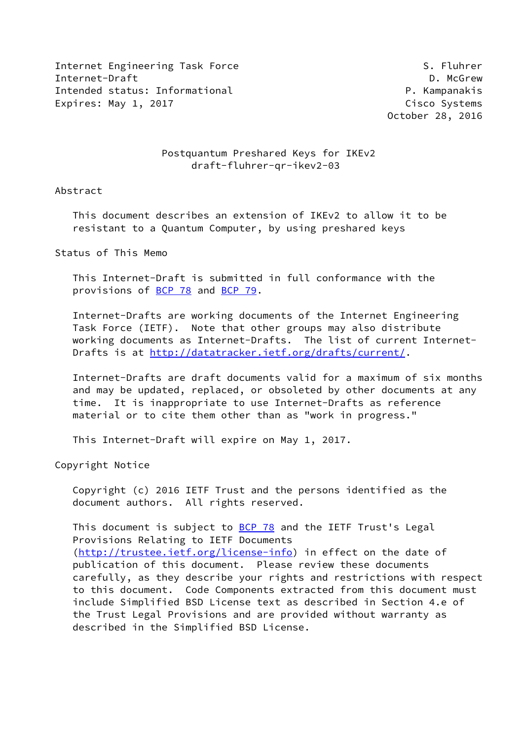Internet Engineering Task Force S. Fluhrer Internet-Draft **D. McGrew** Intended status: Informational example and the P. Kampanakis Expires: May 1, 2017 Cisco Systems

October 28, 2016

# Postquantum Preshared Keys for IKEv2 draft-fluhrer-qr-ikev2-03

### Abstract

 This document describes an extension of IKEv2 to allow it to be resistant to a Quantum Computer, by using preshared keys

Status of This Memo

 This Internet-Draft is submitted in full conformance with the provisions of [BCP 78](https://datatracker.ietf.org/doc/pdf/bcp78) and [BCP 79](https://datatracker.ietf.org/doc/pdf/bcp79).

 Internet-Drafts are working documents of the Internet Engineering Task Force (IETF). Note that other groups may also distribute working documents as Internet-Drafts. The list of current Internet- Drafts is at<http://datatracker.ietf.org/drafts/current/>.

 Internet-Drafts are draft documents valid for a maximum of six months and may be updated, replaced, or obsoleted by other documents at any time. It is inappropriate to use Internet-Drafts as reference material or to cite them other than as "work in progress."

This Internet-Draft will expire on May 1, 2017.

Copyright Notice

 Copyright (c) 2016 IETF Trust and the persons identified as the document authors. All rights reserved.

This document is subject to **[BCP 78](https://datatracker.ietf.org/doc/pdf/bcp78)** and the IETF Trust's Legal Provisions Relating to IETF Documents [\(http://trustee.ietf.org/license-info](http://trustee.ietf.org/license-info)) in effect on the date of publication of this document. Please review these documents carefully, as they describe your rights and restrictions with respect to this document. Code Components extracted from this document must include Simplified BSD License text as described in Section 4.e of the Trust Legal Provisions and are provided without warranty as described in the Simplified BSD License.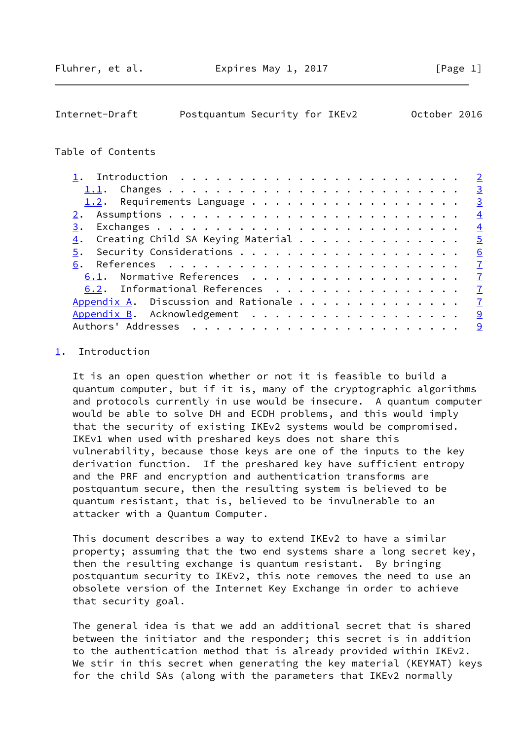# <span id="page-1-1"></span>Internet-Draft Postquantum Security for IKEv2 October 2016

#### Table of Contents

|                                                                      |  |  |  |  |  |  | $\overline{3}$ |
|----------------------------------------------------------------------|--|--|--|--|--|--|----------------|
|                                                                      |  |  |  |  |  |  | $\overline{3}$ |
|                                                                      |  |  |  |  |  |  | $\overline{4}$ |
| 3.                                                                   |  |  |  |  |  |  | $\overline{4}$ |
| 4. Creating Child SA Keying Material $\dots \dots \dots \dots \dots$ |  |  |  |  |  |  | $\overline{5}$ |
| 5.                                                                   |  |  |  |  |  |  | 6              |
|                                                                      |  |  |  |  |  |  | $\mathbf{Z}$   |
| 6.1. Normative References                                            |  |  |  |  |  |  | $\overline{7}$ |
| 6.2. Informational References                                        |  |  |  |  |  |  | $\overline{7}$ |
|                                                                      |  |  |  |  |  |  | $\overline{1}$ |
| Appendix B. Acknowledgement                                          |  |  |  |  |  |  | 9              |
|                                                                      |  |  |  |  |  |  | 9              |

## <span id="page-1-0"></span>[1](#page-1-0). Introduction

 It is an open question whether or not it is feasible to build a quantum computer, but if it is, many of the cryptographic algorithms and protocols currently in use would be insecure. A quantum computer would be able to solve DH and ECDH problems, and this would imply that the security of existing IKEv2 systems would be compromised. IKEv1 when used with preshared keys does not share this vulnerability, because those keys are one of the inputs to the key derivation function. If the preshared key have sufficient entropy and the PRF and encryption and authentication transforms are postquantum secure, then the resulting system is believed to be quantum resistant, that is, believed to be invulnerable to an attacker with a Quantum Computer.

 This document describes a way to extend IKEv2 to have a similar property; assuming that the two end systems share a long secret key, then the resulting exchange is quantum resistant. By bringing postquantum security to IKEv2, this note removes the need to use an obsolete version of the Internet Key Exchange in order to achieve that security goal.

 The general idea is that we add an additional secret that is shared between the initiator and the responder; this secret is in addition to the authentication method that is already provided within IKEv2. We stir in this secret when generating the key material (KEYMAT) keys for the child SAs (along with the parameters that IKEv2 normally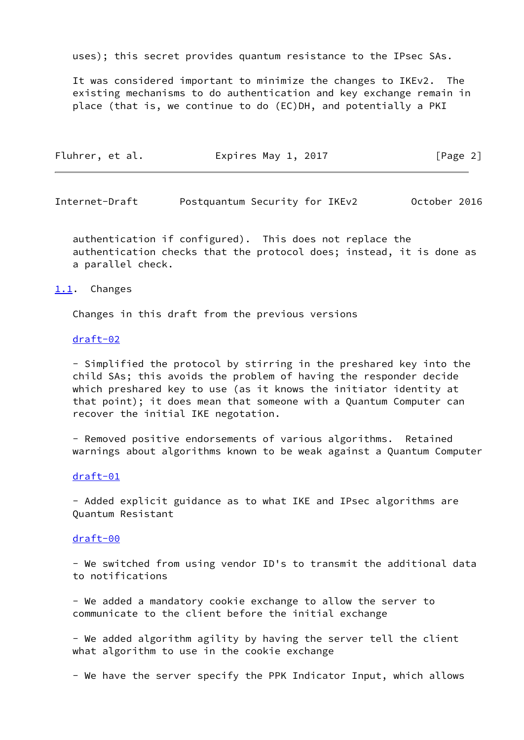uses); this secret provides quantum resistance to the IPsec SAs.

 It was considered important to minimize the changes to IKEv2. The existing mechanisms to do authentication and key exchange remain in place (that is, we continue to do (EC)DH, and potentially a PKI

| Fluhrer, et al.<br>Expires May 1, 2017 | [Page 2] |
|----------------------------------------|----------|
|----------------------------------------|----------|

<span id="page-2-1"></span>Internet-Draft Postquantum Security for IKEv2 October 2016

 authentication if configured). This does not replace the authentication checks that the protocol does; instead, it is done as a parallel check.

#### <span id="page-2-0"></span>[1.1](#page-2-0). Changes

Changes in this draft from the previous versions

#### [draft-02](https://datatracker.ietf.org/doc/pdf/draft-02)

 - Simplified the protocol by stirring in the preshared key into the child SAs; this avoids the problem of having the responder decide which preshared key to use (as it knows the initiator identity at that point); it does mean that someone with a Quantum Computer can recover the initial IKE negotation.

 - Removed positive endorsements of various algorithms. Retained warnings about algorithms known to be weak against a Quantum Computer

#### [draft-01](https://datatracker.ietf.org/doc/pdf/draft-01)

 - Added explicit guidance as to what IKE and IPsec algorithms are Quantum Resistant

#### [draft-00](https://datatracker.ietf.org/doc/pdf/draft-00)

 - We switched from using vendor ID's to transmit the additional data to notifications

 - We added a mandatory cookie exchange to allow the server to communicate to the client before the initial exchange

 - We added algorithm agility by having the server tell the client what algorithm to use in the cookie exchange

- We have the server specify the PPK Indicator Input, which allows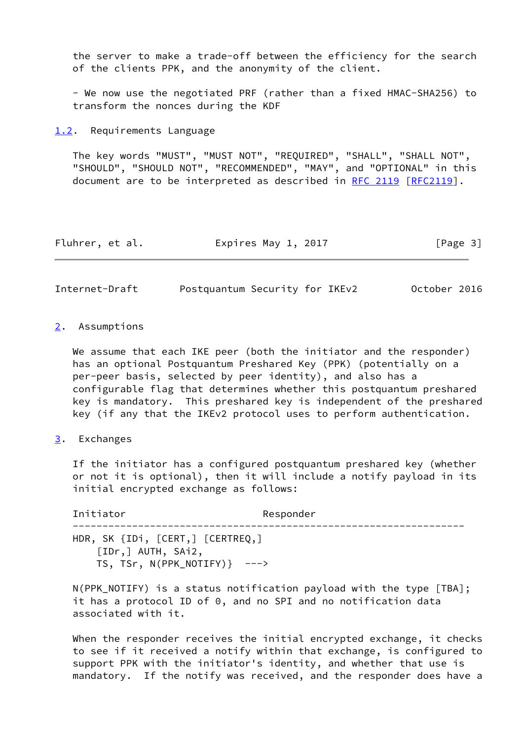the server to make a trade-off between the efficiency for the search of the clients PPK, and the anonymity of the client.

 - We now use the negotiated PRF (rather than a fixed HMAC-SHA256) to transform the nonces during the KDF

<span id="page-3-0"></span>[1.2](#page-3-0). Requirements Language

 The key words "MUST", "MUST NOT", "REQUIRED", "SHALL", "SHALL NOT", "SHOULD", "SHOULD NOT", "RECOMMENDED", "MAY", and "OPTIONAL" in this document are to be interpreted as described in [RFC 2119 \[RFC2119](https://datatracker.ietf.org/doc/pdf/rfc2119)].

| Fluhrer, et al. | Expires May 1, 2017 | [Page 3] |
|-----------------|---------------------|----------|
|-----------------|---------------------|----------|

<span id="page-3-2"></span>Internet-Draft Postquantum Security for IKEv2 October 2016

#### <span id="page-3-1"></span>[2](#page-3-1). Assumptions

We assume that each IKE peer (both the initiator and the responder) has an optional Postquantum Preshared Key (PPK) (potentially on a per-peer basis, selected by peer identity), and also has a configurable flag that determines whether this postquantum preshared key is mandatory. This preshared key is independent of the preshared key (if any that the IKEv2 protocol uses to perform authentication.

# <span id="page-3-3"></span>[3](#page-3-3). Exchanges

 If the initiator has a configured postquantum preshared key (whether or not it is optional), then it will include a notify payload in its initial encrypted exchange as follows:

Initiator **Responder**  ------------------------------------------------------------------ HDR, SK {IDi, [CERT,] [CERTREQ,] [IDr,] AUTH, SAi2, TS, TSr, N(PPK\_NOTIFY)} --->

 N(PPK\_NOTIFY) is a status notification payload with the type [TBA]; it has a protocol ID of 0, and no SPI and no notification data associated with it.

When the responder receives the initial encrypted exchange, it checks to see if it received a notify within that exchange, is configured to support PPK with the initiator's identity, and whether that use is mandatory. If the notify was received, and the responder does have a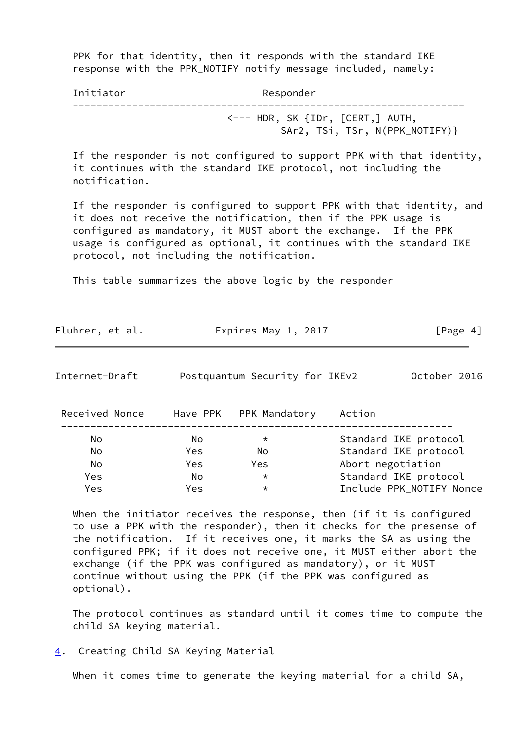PPK for that identity, then it responds with the standard IKE response with the PPK\_NOTIFY notify message included, namely:

| Initiator | Responder                                                                            |
|-----------|--------------------------------------------------------------------------------------|
|           | $\leftarrow$ --- HDR, SK $\{IDr, \; [CERT,]$ AUTH,<br>SAr2, TSi, TSr, N(PPK_NOTIFY)} |

 If the responder is not configured to support PPK with that identity, it continues with the standard IKE protocol, not including the notification.

 If the responder is configured to support PPK with that identity, and it does not receive the notification, then if the PPK usage is configured as mandatory, it MUST abort the exchange. If the PPK usage is configured as optional, it continues with the standard IKE protocol, not including the notification.

This table summarizes the above logic by the responder

| Fluhrer, et al. | Expires May 1, 2017 | [Page 4] |
|-----------------|---------------------|----------|
|-----------------|---------------------|----------|

<span id="page-4-1"></span>

| October 2016<br>Postquantum Security for IKEv2<br>Internet-Draft |  |
|------------------------------------------------------------------|--|
|------------------------------------------------------------------|--|

| Received Nonce |     | Have PPK PPK Mandatory | Action                   |
|----------------|-----|------------------------|--------------------------|
| No             | No  | $\star$                | Standard IKE protocol    |
| No             | Yes | Nο                     | Standard IKE protocol    |
| No             | Yes | Yes                    | Abort negotiation        |
| Yes            | No  | $\star$                | Standard IKE protocol    |
| Yes            | Yes | $\star$                | Include PPK NOTIFY Nonce |
|                |     |                        |                          |

When the initiator receives the response, then (if it is configured to use a PPK with the responder), then it checks for the presense of the notification. If it receives one, it marks the SA as using the configured PPK; if it does not receive one, it MUST either abort the exchange (if the PPK was configured as mandatory), or it MUST continue without using the PPK (if the PPK was configured as optional).

 The protocol continues as standard until it comes time to compute the child SA keying material.

<span id="page-4-0"></span>[4](#page-4-0). Creating Child SA Keying Material

When it comes time to generate the keying material for a child SA,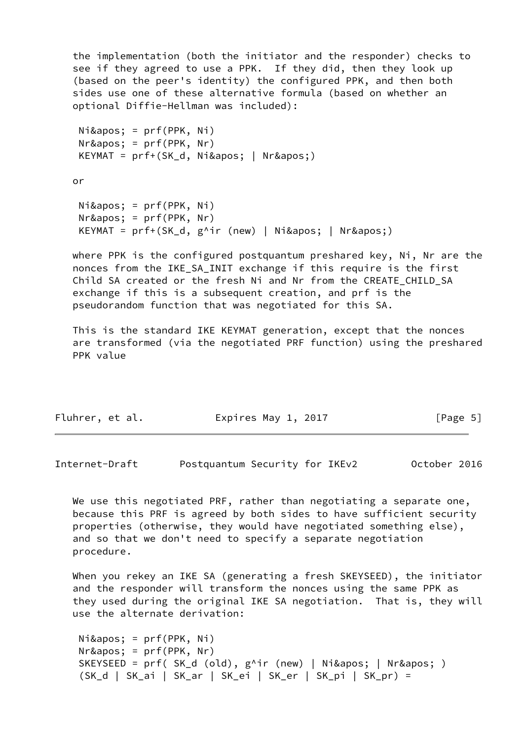the implementation (both the initiator and the responder) checks to see if they agreed to use a PPK. If they did, then they look up (based on the peer's identity) the configured PPK, and then both sides use one of these alternative formula (based on whether an optional Diffie-Hellman was included):

```
Ni&apos: = prf(PPK, Ni)
Nr\' = prf(PPK, Nr)KEYMAT = prf+(SK_d, Ni\' | Nr\' )
```
or

```
Ni & apos; = prf(PPK, Ni)
Nr\' = prf(PPK, Nr)KEYMAT = prf+(SK_d, g^iir (new) | Ni\' | Nr\' )
```
 where PPK is the configured postquantum preshared key, Ni, Nr are the nonces from the IKE\_SA\_INIT exchange if this require is the first Child SA created or the fresh Ni and Nr from the CREATE CHILD SA exchange if this is a subsequent creation, and prf is the pseudorandom function that was negotiated for this SA.

 This is the standard IKE KEYMAT generation, except that the nonces are transformed (via the negotiated PRF function) using the preshared PPK value

| Fluhrer, et al. | Expires May 1, 2017 | [Page 5] |
|-----------------|---------------------|----------|
|-----------------|---------------------|----------|

<span id="page-5-0"></span>Internet-Draft Postquantum Security for IKEv2 October 2016

We use this negotiated PRF, rather than negotiating a separate one, because this PRF is agreed by both sides to have sufficient security properties (otherwise, they would have negotiated something else), and so that we don't need to specify a separate negotiation procedure.

 When you rekey an IKE SA (generating a fresh SKEYSEED), the initiator and the responder will transform the nonces using the same PPK as they used during the original IKE SA negotiation. That is, they will use the alternate derivation:

```
Ni\apos; = prf(PPK, Ni)
Nr\' = prf(PPK, Nr)SKEYSEED = prf( SK_d (old), g^i r (new) | Ni\' | Nr\' ) (SK_d | SK_ai | SK_ar | SK_ei | SK_er | SK_pi | SK_pr) =
```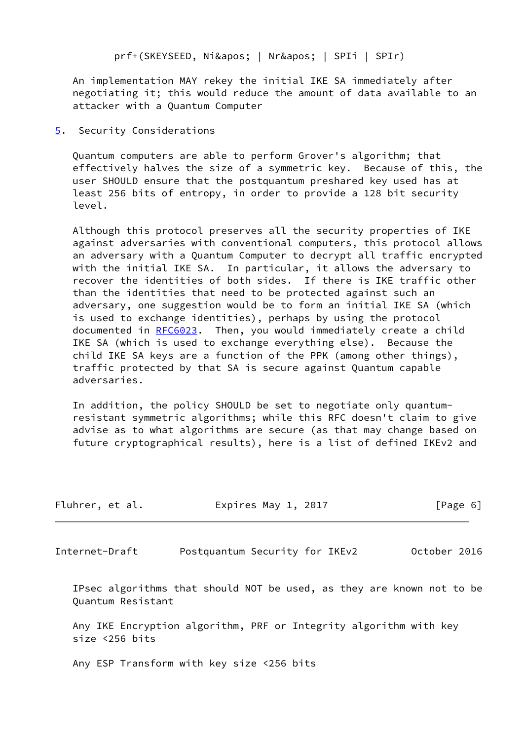prf+(SKEYSEED, Ni' | Nr' | SPIi | SPIr)

 An implementation MAY rekey the initial IKE SA immediately after negotiating it; this would reduce the amount of data available to an attacker with a Quantum Computer

<span id="page-6-0"></span>[5](#page-6-0). Security Considerations

 Quantum computers are able to perform Grover's algorithm; that effectively halves the size of a symmetric key. Because of this, the user SHOULD ensure that the postquantum preshared key used has at least 256 bits of entropy, in order to provide a 128 bit security level.

 Although this protocol preserves all the security properties of IKE against adversaries with conventional computers, this protocol allows an adversary with a Quantum Computer to decrypt all traffic encrypted with the initial IKE SA. In particular, it allows the adversary to recover the identities of both sides. If there is IKE traffic other than the identities that need to be protected against such an adversary, one suggestion would be to form an initial IKE SA (which is used to exchange identities), perhaps by using the protocol documented in [RFC6023](https://datatracker.ietf.org/doc/pdf/rfc6023). Then, you would immediately create a child IKE SA (which is used to exchange everything else). Because the child IKE SA keys are a function of the PPK (among other things), traffic protected by that SA is secure against Quantum capable adversaries.

 In addition, the policy SHOULD be set to negotiate only quantum resistant symmetric algorithms; while this RFC doesn't claim to give advise as to what algorithms are secure (as that may change based on future cryptographical results), here is a list of defined IKEv2 and

<span id="page-6-1"></span>

| Fluhrer, et al. | Expires May 1, 2017            | [Page 6]     |
|-----------------|--------------------------------|--------------|
| Internet-Draft  | Postquantum Security for IKEv2 | October 2016 |

 IPsec algorithms that should NOT be used, as they are known not to be Quantum Resistant

 Any IKE Encryption algorithm, PRF or Integrity algorithm with key size <256 bits

Any ESP Transform with key size <256 bits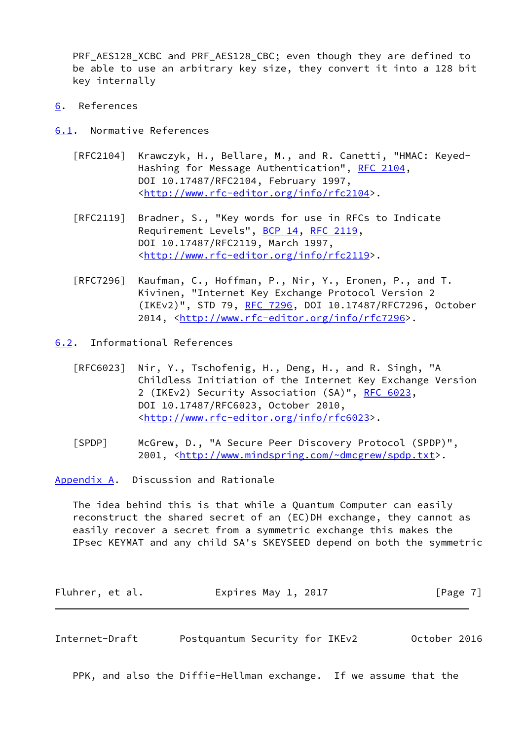PRF\_AES128\_XCBC and PRF\_AES128\_CBC; even though they are defined to be able to use an arbitrary key size, they convert it into a 128 bit key internally

- <span id="page-7-0"></span>[6](#page-7-0). References
- <span id="page-7-1"></span>[6.1](#page-7-1). Normative References
	- [RFC2104] Krawczyk, H., Bellare, M., and R. Canetti, "HMAC: Keyed- Hashing for Message Authentication", [RFC 2104](https://datatracker.ietf.org/doc/pdf/rfc2104), DOI 10.17487/RFC2104, February 1997, <<http://www.rfc-editor.org/info/rfc2104>>.
	- [RFC2119] Bradner, S., "Key words for use in RFCs to Indicate Requirement Levels", [BCP 14](https://datatracker.ietf.org/doc/pdf/bcp14), [RFC 2119](https://datatracker.ietf.org/doc/pdf/rfc2119), DOI 10.17487/RFC2119, March 1997, <<http://www.rfc-editor.org/info/rfc2119>>.
	- [RFC7296] Kaufman, C., Hoffman, P., Nir, Y., Eronen, P., and T. Kivinen, "Internet Key Exchange Protocol Version 2 (IKEv2)", STD 79, [RFC 7296](https://datatracker.ietf.org/doc/pdf/rfc7296), DOI 10.17487/RFC7296, October 2014, [<http://www.rfc-editor.org/info/rfc7296](http://www.rfc-editor.org/info/rfc7296)>.
- <span id="page-7-2"></span>[6.2](#page-7-2). Informational References
	- [RFC6023] Nir, Y., Tschofenig, H., Deng, H., and R. Singh, "A Childless Initiation of the Internet Key Exchange Version 2 (IKEv2) Security Association (SA)", [RFC 6023](https://datatracker.ietf.org/doc/pdf/rfc6023), DOI 10.17487/RFC6023, October 2010, <<http://www.rfc-editor.org/info/rfc6023>>.
	- [SPDP] McGrew, D., "A Secure Peer Discovery Protocol (SPDP)", 2001, [<http://www.mindspring.com/~dmcgrew/spdp.txt](http://www.mindspring.com/~dmcgrew/spdp.txt)>.

<span id="page-7-3"></span>[Appendix A.](#page-7-3) Discussion and Rationale

 The idea behind this is that while a Quantum Computer can easily reconstruct the shared secret of an (EC)DH exchange, they cannot as easily recover a secret from a symmetric exchange this makes the IPsec KEYMAT and any child SA's SKEYSEED depend on both the symmetric

| Fluhrer, et al. | Expires May 1, 2017 | [Page 7] |
|-----------------|---------------------|----------|
|-----------------|---------------------|----------|

Internet-Draft Postquantum Security for IKEv2 October 2016

PPK, and also the Diffie-Hellman exchange. If we assume that the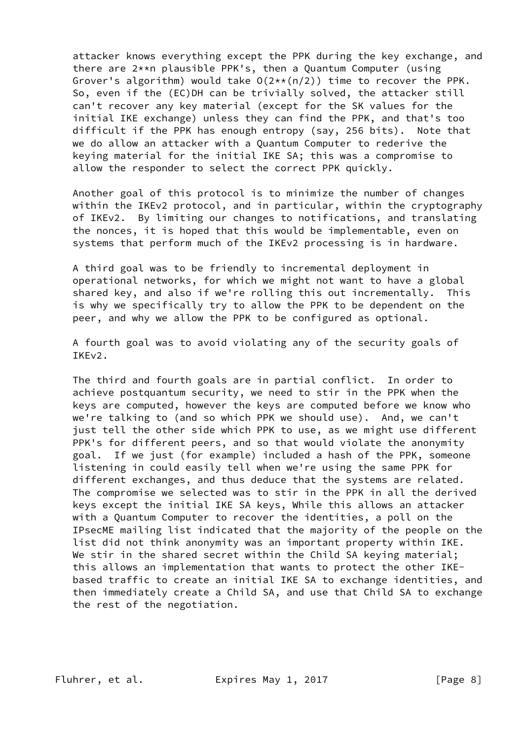attacker knows everything except the PPK during the key exchange, and there are 2\*\*n plausible PPK's, then a Quantum Computer (using Grover's algorithm) would take  $O(2**\frac{\pi}{2})$  time to recover the PPK. So, even if the (EC)DH can be trivially solved, the attacker still can't recover any key material (except for the SK values for the initial IKE exchange) unless they can find the PPK, and that's too difficult if the PPK has enough entropy (say, 256 bits). Note that we do allow an attacker with a Quantum Computer to rederive the keying material for the initial IKE SA; this was a compromise to allow the responder to select the correct PPK quickly.

 Another goal of this protocol is to minimize the number of changes within the IKEv2 protocol, and in particular, within the cryptography of IKEv2. By limiting our changes to notifications, and translating the nonces, it is hoped that this would be implementable, even on systems that perform much of the IKEv2 processing is in hardware.

 A third goal was to be friendly to incremental deployment in operational networks, for which we might not want to have a global shared key, and also if we're rolling this out incrementally. This is why we specifically try to allow the PPK to be dependent on the peer, and why we allow the PPK to be configured as optional.

 A fourth goal was to avoid violating any of the security goals of IKEv2.

 The third and fourth goals are in partial conflict. In order to achieve postquantum security, we need to stir in the PPK when the keys are computed, however the keys are computed before we know who we're talking to (and so which PPK we should use). And, we can't just tell the other side which PPK to use, as we might use different PPK's for different peers, and so that would violate the anonymity goal. If we just (for example) included a hash of the PPK, someone listening in could easily tell when we're using the same PPK for different exchanges, and thus deduce that the systems are related. The compromise we selected was to stir in the PPK in all the derived keys except the initial IKE SA keys, While this allows an attacker with a Quantum Computer to recover the identities, a poll on the IPsecME mailing list indicated that the majority of the people on the list did not think anonymity was an important property within IKE. We stir in the shared secret within the Child SA keying material; this allows an implementation that wants to protect the other IKE based traffic to create an initial IKE SA to exchange identities, and then immediately create a Child SA, and use that Child SA to exchange the rest of the negotiation.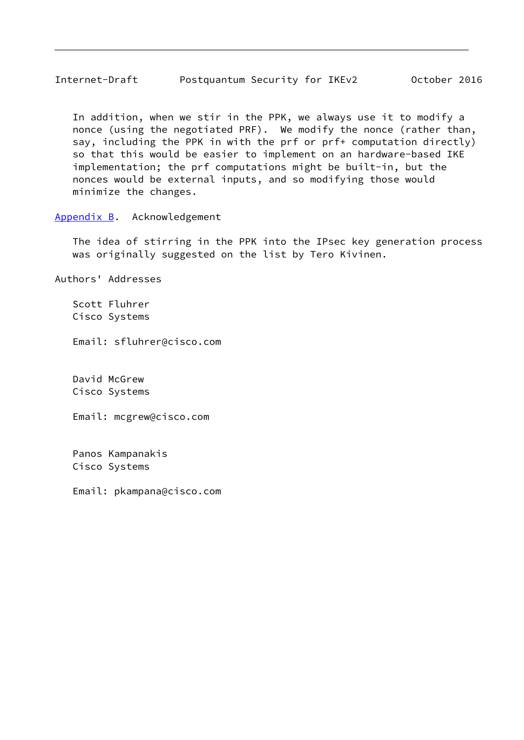<span id="page-9-1"></span> In addition, when we stir in the PPK, we always use it to modify a nonce (using the negotiated PRF). We modify the nonce (rather than, say, including the PPK in with the prf or prf+ computation directly) so that this would be easier to implement on an hardware-based IKE implementation; the prf computations might be built-in, but the nonces would be external inputs, and so modifying those would minimize the changes.

<span id="page-9-0"></span>[Appendix B.](#page-9-0) Acknowledgement

 The idea of stirring in the PPK into the IPsec key generation process was originally suggested on the list by Tero Kivinen.

Authors' Addresses

 Scott Fluhrer Cisco Systems

Email: sfluhrer@cisco.com

 David McGrew Cisco Systems

Email: mcgrew@cisco.com

 Panos Kampanakis Cisco Systems

Email: pkampana@cisco.com